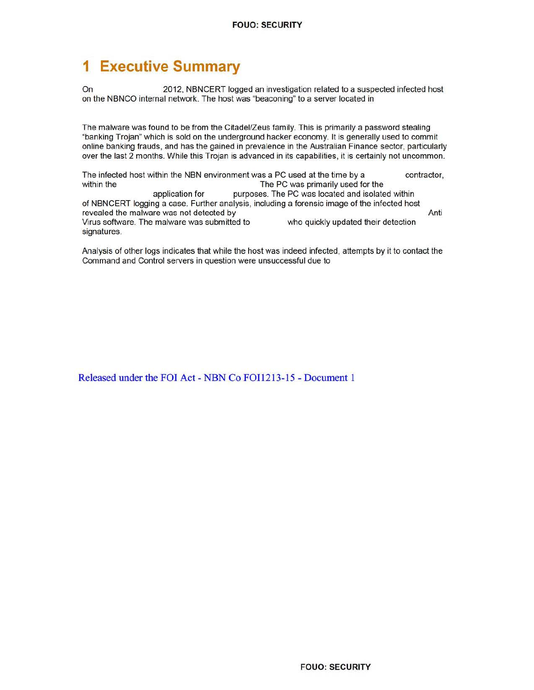## **1 Executive Summary**

On 2012, NBNCERT logged an investigation related to a suspected infected host on the NBNCO internal network. The host was "beaconing" to a server located in

The malware was found to be from the Citadel/Zeus family. This is primarily a password stealing "banking Trojan" which is sold on the underground hacker economy. It is generally used to commit online banking frauds, and has the gained in prevalence in the Australian Finance sector, particularly over the last 2 months. While this Trojan is advanced in its capabilities, it is certainly not uncommon.

The infected host within the NBN environment was a PC used at the time by a contractor, within the The PC was primarily used for the application for purposes. The PC was located and isolated within of NBNCERT logging a case. Further analysis, including a forensic image of the infected host revealed the malware was not detected by Anti-Virus software. The malware was submitted to who quickly updated their detection signatures.

Analysis of other logs indicates that while the host was indeed infected, attempts by it to contact the Command and Control servers in question were unsuccessful due to

Released under the POI Act- NBN Co FOI1213-15 - Document 1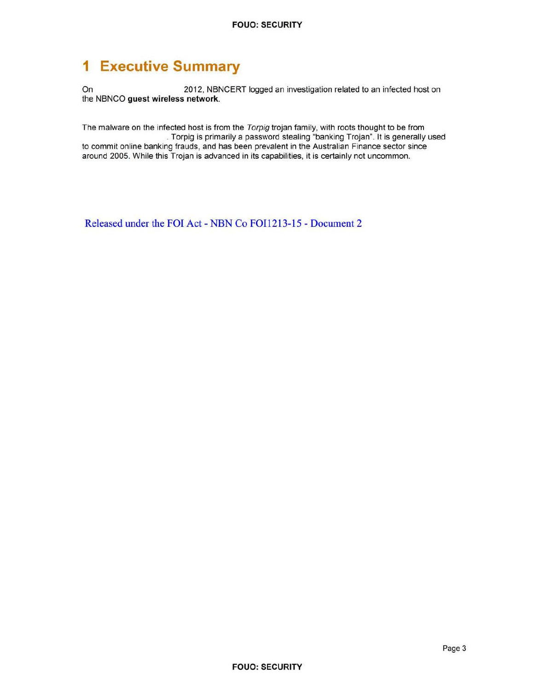## **1 Executive Summary**

On 2012, NBNCERT logged an investigation related to an infected host on the NBNCO **guest wireless network.** 

The malware on the infected host is from the Torpig trojan family, with roots thought to be from . Torpig is primarily a password stealing "banking Trojan". It is generally used to commit online banking frauds, and has been prevalent in the Australian Finance sector since around 2005. While this Trojan is advanced in its capabilities, it is certainly not uncommon.

Released under the FOI Act- NBN Co FOI1213-15- Document 2